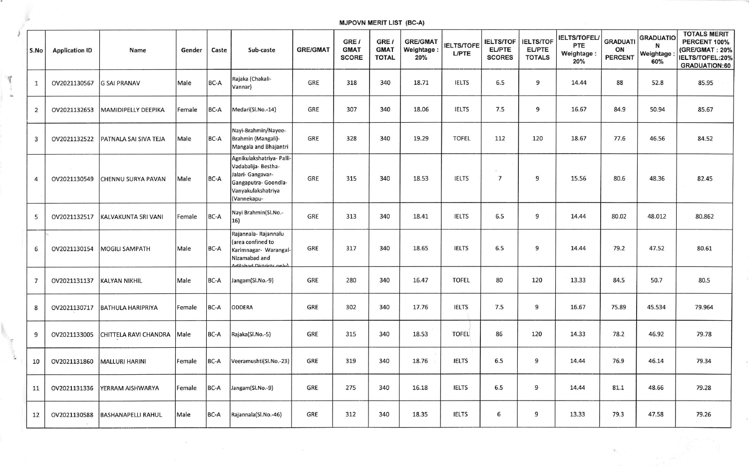## MJPOVN MERIT LIST (BC.A)

Y

| S.No           | <b>Application ID</b> | Name                      | Gender | Caste | Sub-caste                                                                                                                          | <b>GRE/GMAT</b> | GRE /<br><b>GMAT</b><br><b>SCORE</b> | GRE /<br><b>GMAT</b><br><b>TOTAL</b> | <b>GRE/GMA1</b><br>Weightage:<br>20% | <b>IELTS/TOFE</b><br><b>L/PTE</b> | <b>IELTS/TOF</b><br><b>EL/PTE</b><br><b>SCORES</b> | <b>IELTS/TOF</b><br><b>EL/PTE</b><br><b>TOTALS</b> | <b>IELTS/TOFEL</b><br><b>PTE</b><br>Weightage:<br>20% | <b>GRADUATI</b><br>ON<br><b>PERCENT</b> | <b>GRADUATIC</b><br>N<br>Weightage<br>60% | <b>TOTALS MERIT</b><br>PERCENT 100%<br>(GRE/GMAT: 20%<br>IELTS/TOFEL:20%<br><b>GRADUATION:60</b> |
|----------------|-----------------------|---------------------------|--------|-------|------------------------------------------------------------------------------------------------------------------------------------|-----------------|--------------------------------------|--------------------------------------|--------------------------------------|-----------------------------------|----------------------------------------------------|----------------------------------------------------|-------------------------------------------------------|-----------------------------------------|-------------------------------------------|--------------------------------------------------------------------------------------------------|
| $\mathbf{1}$   | OV2021130567          | <b>G SAI PRANAV</b>       | Male   | BC-A  | Rajaka (Chakali-<br>Vannar)                                                                                                        | GRE             | 318                                  | 340                                  | 18.71                                | <b>IELTS</b>                      | 6.5                                                | 9                                                  | 14.44                                                 | 88                                      | 52.8                                      | 85.95                                                                                            |
| $\overline{2}$ | OV2021132653          | MAMIDIPELLY DEEPIKA       | Female | BC-A  | Medari(Sl.No.-14)                                                                                                                  | GRE             | 307                                  | 340                                  | 18.06                                | <b>IELTS</b>                      | 7.5                                                | 9                                                  | 16.67                                                 | 84.9                                    | 50.94                                     | 85.67                                                                                            |
| 3              | OV2021132522          | PATNALA SAI SIVA TEJA     | Male   | BC-A  | Nayi-Brahmin/Nayee-<br>Brahmin (Mangali)-<br>Mangala and Bhajantri                                                                 | GRE             | 328                                  | 340                                  | 19.29                                | <b>TOFEL</b>                      | 112                                                | 120                                                | 18.67                                                 | 77.6                                    | 46.56                                     | 84.52                                                                                            |
| 4              | OV2021130549          | CHENNU SURYA PAVAN        | Male   | BC-A  | Agnikulakshatriya- Palli-<br>Vadabalija- Bestha-<br>Jalari- Gangavar-<br>Gangaputra- Goondla-<br>Vanyakulakshatriya<br>(Vannekapu- | GRE             | 315                                  | 340                                  | 18.53                                | <b>IELTS</b>                      | $\overline{7}$                                     | 9                                                  | 15.56                                                 | 80.6                                    | 48.36                                     | 82.45                                                                                            |
| 5              | OV2021132517          | KALVAKUNTA SRI VANI       | Female | BC-A  | Nayi Brahmin(Sl.No.-<br>16)                                                                                                        | GRE             | 313                                  | 340                                  | 18.41                                | <b>IELTS</b>                      | 6.5                                                | 9                                                  | 14.44                                                 | 80.02                                   | 48.012                                    | 80.862                                                                                           |
| 6              | OV2021130154          | <b>MOGILI SAMPATH</b>     | Male   | BC-A  | Rajannala- Rajannalu<br>(area confined to<br>Karimnagar- Warangal-<br>Nizamabad and<br>tailahad Dist                               | GRE             | 317                                  | 340                                  | 18.65                                | <b>IELTS</b>                      | 6.5                                                | 9                                                  | 14.44                                                 | 79.2                                    | 47.52                                     | 80.61                                                                                            |
| $\overline{7}$ | OV2021131137          | KALYAN NIKHIL             | Male   | BC-A  | Jangam(Sl.No.-9)                                                                                                                   | GRE             | 280                                  | 340                                  | 16.47                                | <b>TOFEL</b>                      | 80                                                 | 120                                                | 13.33                                                 | 84.5                                    | 50.7                                      | 80.5                                                                                             |
| 8              | OV2021130717          | <b>BATHULA HARIPRIYA</b>  | Female | BC-A  | <b>ODDERA</b>                                                                                                                      | GRE             | 302                                  | 340                                  | 17.76                                | <b>IELTS</b>                      | 7.5                                                | 9                                                  | 16.67                                                 | 75.89                                   | 45.534                                    | 79.964                                                                                           |
| 9              | OV2021133005          | CHITTELA RAVI CHANDRA     | Male   | BC-A  | Rajaka(Sl.No.-5)                                                                                                                   | GRE             | 315                                  | 340                                  | 18.53                                | <b>TOFEL</b>                      | 86                                                 | 120                                                | 14.33                                                 | 78.2                                    | 46.92                                     | 79.78                                                                                            |
| 10             | OV2021131860          | <b>MALLURI HARINI</b>     | Female | BC-A  | Veeramushti(Sl.No.-23)                                                                                                             | GRE             | 319                                  | 340                                  | 18.76                                | <b>IELTS</b>                      | 6.5                                                | 9                                                  | 14.44                                                 | 76.9                                    | 46.14                                     | 79.34                                                                                            |
| 11             | OV2021131336          | YERRAM AISHWARYA          | Female | BC-A  | Jangam(Sl.No.-9)                                                                                                                   | GRE             | 275                                  | 340                                  | 16.18                                | <b>IELTS</b>                      | 6.5                                                | 9                                                  | 14.44                                                 | 81.1                                    | 48.66                                     | 79.28                                                                                            |
| 12             | OV2021130588          | <b>BASHANAPELLI RAHUL</b> | Male   | BC-A  | Rajannala(Sl.No.-46)                                                                                                               | GRE             | 312                                  | 340                                  | 18.35                                | <b>IELTS</b>                      | 6                                                  | 9                                                  | 13.33                                                 | 79.3                                    | 47.58                                     | 79.26                                                                                            |